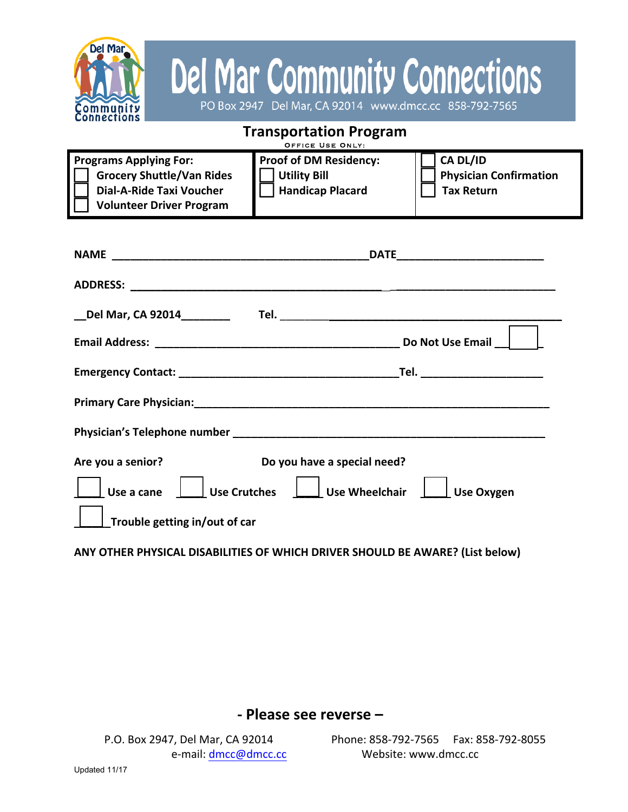

## Del Mar Community Connections

| <b>Transportation Program</b><br>OFFICE USE ONLY:                                                                                       |                                                                                                                                                   |
|-----------------------------------------------------------------------------------------------------------------------------------------|---------------------------------------------------------------------------------------------------------------------------------------------------|
| <b>Programs Applying For:</b><br><b>Grocery Shuttle/Van Rides</b><br><b>Dial-A-Ride Taxi Voucher</b><br><b>Volunteer Driver Program</b> | CA DL/ID<br><b>Proof of DM Residency:</b><br><b>Utility Bill</b><br><b>Physician Confirmation</b><br><b>Handicap Placard</b><br><b>Tax Return</b> |
|                                                                                                                                         |                                                                                                                                                   |
|                                                                                                                                         |                                                                                                                                                   |
|                                                                                                                                         |                                                                                                                                                   |
|                                                                                                                                         |                                                                                                                                                   |
|                                                                                                                                         |                                                                                                                                                   |
|                                                                                                                                         |                                                                                                                                                   |
|                                                                                                                                         |                                                                                                                                                   |
| Are you a senior?<br>Use a cane                                                                                                         | Do you have a special need?<br>Use Crutches   Use Wheelchair<br><b>Use Oxygen</b>                                                                 |
| Trouble getting in/out of car                                                                                                           |                                                                                                                                                   |

ANY OTHER PHYSICAL DISABILITIES OF WHICH DRIVER SHOULD BE AWARE? (List below)

## **- Please see reverse –**